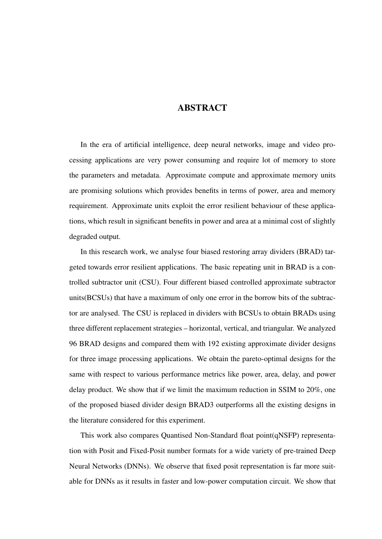## ABSTRACT

In the era of artificial intelligence, deep neural networks, image and video processing applications are very power consuming and require lot of memory to store the parameters and metadata. Approximate compute and approximate memory units are promising solutions which provides benefits in terms of power, area and memory requirement. Approximate units exploit the error resilient behaviour of these applications, which result in significant benefits in power and area at a minimal cost of slightly degraded output.

In this research work, we analyse four biased restoring array dividers (BRAD) targeted towards error resilient applications. The basic repeating unit in BRAD is a controlled subtractor unit (CSU). Four different biased controlled approximate subtractor units(BCSUs) that have a maximum of only one error in the borrow bits of the subtractor are analysed. The CSU is replaced in dividers with BCSUs to obtain BRADs using three different replacement strategies – horizontal, vertical, and triangular. We analyzed 96 BRAD designs and compared them with 192 existing approximate divider designs for three image processing applications. We obtain the pareto-optimal designs for the same with respect to various performance metrics like power, area, delay, and power delay product. We show that if we limit the maximum reduction in SSIM to 20%, one of the proposed biased divider design BRAD3 outperforms all the existing designs in the literature considered for this experiment.

This work also compares Quantised Non-Standard float point(qNSFP) representation with Posit and Fixed-Posit number formats for a wide variety of pre-trained Deep Neural Networks (DNNs). We observe that fixed posit representation is far more suitable for DNNs as it results in faster and low-power computation circuit. We show that